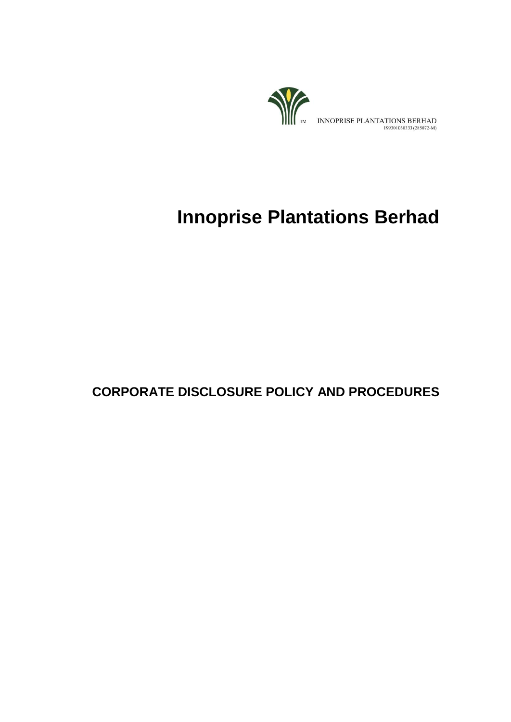

# **Innoprise Plantations Berhad**

# **CORPORATE DISCLOSURE POLICY AND PROCEDURES**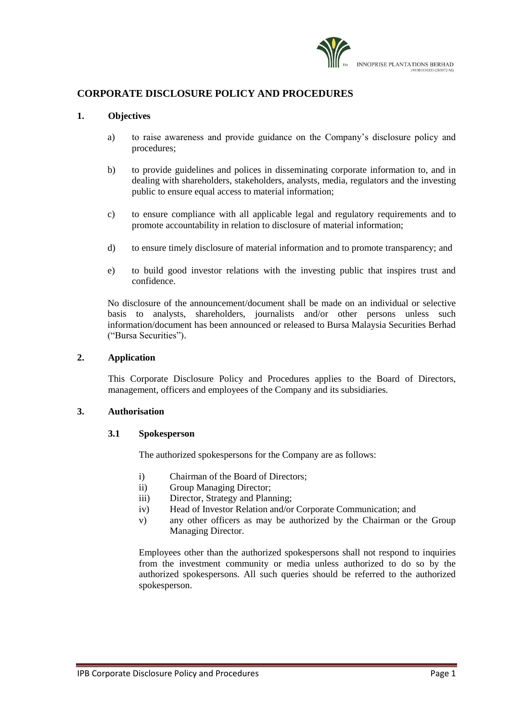

### **CORPORATE DISCLOSURE POLICY AND PROCEDURES**

#### **1. Objectives**

- a) to raise awareness and provide guidance on the Company's disclosure policy and procedures;
- b) to provide guidelines and polices in disseminating corporate information to, and in dealing with shareholders, stakeholders, analysts, media, regulators and the investing public to ensure equal access to material information;
- c) to ensure compliance with all applicable legal and regulatory requirements and to promote accountability in relation to disclosure of material information;
- d) to ensure timely disclosure of material information and to promote transparency; and
- e) to build good investor relations with the investing public that inspires trust and confidence.

No disclosure of the announcement/document shall be made on an individual or selective basis to analysts, shareholders, journalists and/or other persons unless such information/document has been announced or released to Bursa Malaysia Securities Berhad ("Bursa Securities").

#### **2. Application**

This Corporate Disclosure Policy and Procedures applies to the Board of Directors, management, officers and employees of the Company and its subsidiaries.

#### **3. Authorisation**

#### **3.1 Spokesperson**

The authorized spokespersons for the Company are as follows:

- i) Chairman of the Board of Directors;
- ii) Group Managing Director;
- iii) Director, Strategy and Planning;
- iv) Head of Investor Relation and/or Corporate Communication; and
- v) any other officers as may be authorized by the Chairman or the Group Managing Director.

Employees other than the authorized spokespersons shall not respond to inquiries from the investment community or media unless authorized to do so by the authorized spokespersons. All such queries should be referred to the authorized spokesperson.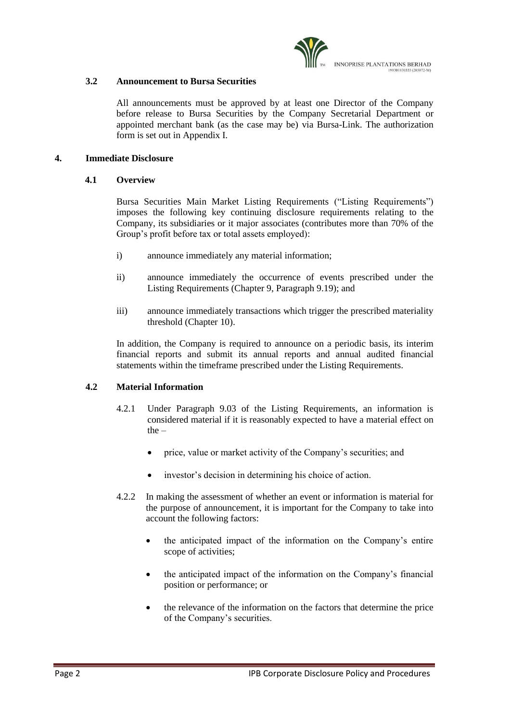

#### **3.2 Announcement to Bursa Securities**

All announcements must be approved by at least one Director of the Company before release to Bursa Securities by the Company Secretarial Department or appointed merchant bank (as the case may be) via Bursa-Link. The authorization form is set out in Appendix I.

#### **4. Immediate Disclosure**

#### **4.1 Overview**

Bursa Securities Main Market Listing Requirements ("Listing Requirements") imposes the following key continuing disclosure requirements relating to the Company, its subsidiaries or it major associates (contributes more than 70% of the Group's profit before tax or total assets employed):

- i) announce immediately any material information;
- ii) announce immediately the occurrence of events prescribed under the Listing Requirements (Chapter 9, Paragraph 9.19); and
- iii) announce immediately transactions which trigger the prescribed materiality threshold (Chapter 10).

In addition, the Company is required to announce on a periodic basis, its interim financial reports and submit its annual reports and annual audited financial statements within the timeframe prescribed under the Listing Requirements.

#### **4.2 Material Information**

- 4.2.1 Under Paragraph 9.03 of the Listing Requirements, an information is considered material if it is reasonably expected to have a material effect on the –
	- price, value or market activity of the Company's securities; and
	- investor's decision in determining his choice of action.
- 4.2.2 In making the assessment of whether an event or information is material for the purpose of announcement, it is important for the Company to take into account the following factors:
	- the anticipated impact of the information on the Company's entire scope of activities;
	- the anticipated impact of the information on the Company's financial position or performance; or
	- the relevance of the information on the factors that determine the price of the Company's securities.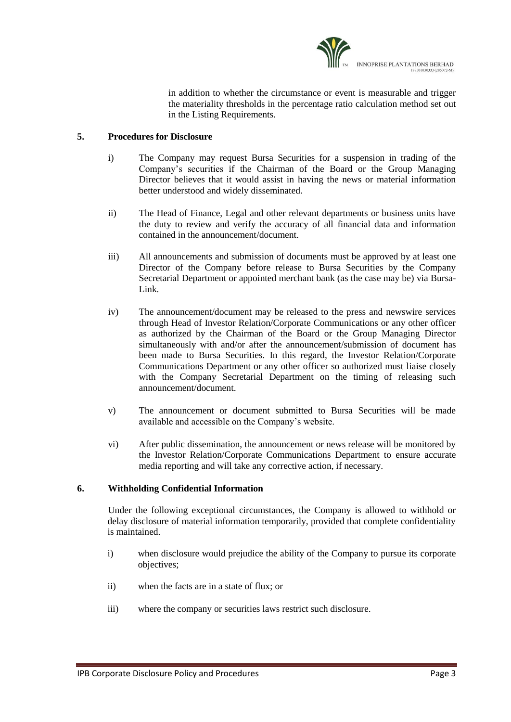

in addition to whether the circumstance or event is measurable and trigger the materiality thresholds in the percentage ratio calculation method set out in the Listing Requirements.

#### **5. Procedures for Disclosure**

- i) The Company may request Bursa Securities for a suspension in trading of the Company's securities if the Chairman of the Board or the Group Managing Director believes that it would assist in having the news or material information better understood and widely disseminated.
- ii) The Head of Finance, Legal and other relevant departments or business units have the duty to review and verify the accuracy of all financial data and information contained in the announcement/document.
- iii) All announcements and submission of documents must be approved by at least one Director of the Company before release to Bursa Securities by the Company Secretarial Department or appointed merchant bank (as the case may be) via Bursa-Link.
- iv) The announcement/document may be released to the press and newswire services through Head of Investor Relation/Corporate Communications or any other officer as authorized by the Chairman of the Board or the Group Managing Director simultaneously with and/or after the announcement/submission of document has been made to Bursa Securities. In this regard, the Investor Relation/Corporate Communications Department or any other officer so authorized must liaise closely with the Company Secretarial Department on the timing of releasing such announcement/document.
- v) The announcement or document submitted to Bursa Securities will be made available and accessible on the Company's website.
- vi) After public dissemination, the announcement or news release will be monitored by the Investor Relation/Corporate Communications Department to ensure accurate media reporting and will take any corrective action, if necessary.

# **6. Withholding Confidential Information**

Under the following exceptional circumstances, the Company is allowed to withhold or delay disclosure of material information temporarily, provided that complete confidentiality is maintained.

- i) when disclosure would prejudice the ability of the Company to pursue its corporate objectives;
- ii) when the facts are in a state of flux; or
- iii) where the company or securities laws restrict such disclosure.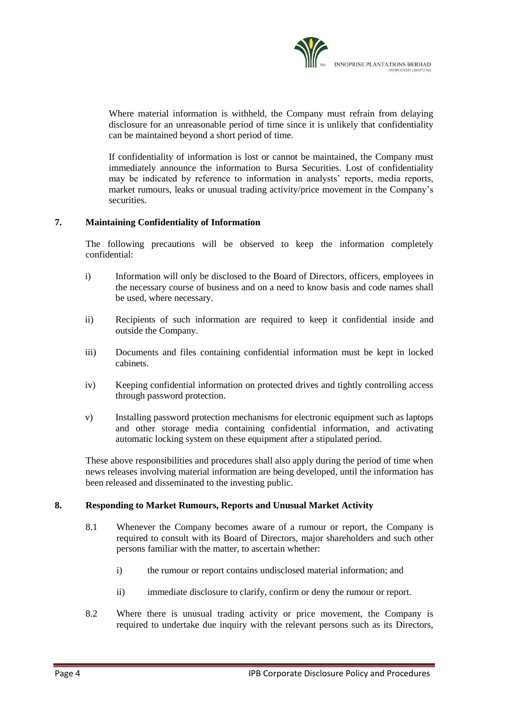Where material information is withheld, the Company must refrain from delaying disclosure for an unreasonable period of time since it is unlikely that confidentiality can be maintained beyond a short period of time.

If confidentiality of information is lost or cannot be maintained, the Company must immediately announce the information to Bursa Securities. Lost of confidentiality may be indicated by reference to information in analysts' reports, media reports, market rumours, leaks or unusual trading activity/price movement in the Company's securities.

# **7. Maintaining Confidentiality of Information**

The following precautions will be observed to keep the information completely confidential:

- i) Information will only be disclosed to the Board of Directors, officers, employees in the necessary course of business and on a need to know basis and code names shall be used, where necessary.
- ii) Recipients of such information are required to keep it confidential inside and outside the Company.
- iii) Documents and files containing confidential information must be kept in locked cabinets.
- iv) Keeping confidential information on protected drives and tightly controlling access through password protection.
- v) Installing password protection mechanisms for electronic equipment such as laptops and other storage media containing confidential information, and activating automatic locking system on these equipment after a stipulated period.

These above responsibilities and procedures shall also apply during the period of time when news releases involving material information are being developed, until the information has been released and disseminated to the investing public.

#### **8. Responding to Market Rumours, Reports and Unusual Market Activity**

- 8.1 Whenever the Company becomes aware of a rumour or report, the Company is required to consult with its Board of Directors, major shareholders and such other persons familiar with the matter, to ascertain whether:
	- i) the rumour or report contains undisclosed material information; and
	- ii) immediate disclosure to clarify, confirm or deny the rumour or report.
- 8.2 Where there is unusual trading activity or price movement, the Company is required to undertake due inquiry with the relevant persons such as its Directors,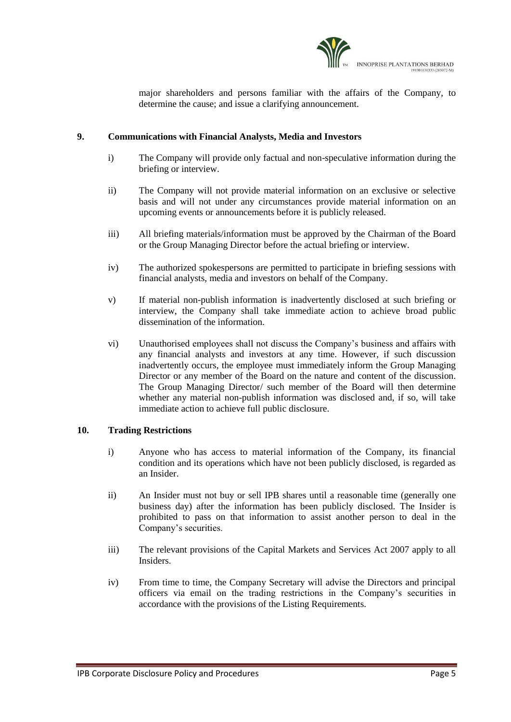

major shareholders and persons familiar with the affairs of the Company, to determine the cause; and issue a clarifying announcement.

#### **9. Communications with Financial Analysts, Media and Investors**

- i) The Company will provide only factual and non-speculative information during the briefing or interview.
- ii) The Company will not provide material information on an exclusive or selective basis and will not under any circumstances provide material information on an upcoming events or announcements before it is publicly released.
- iii) All briefing materials/information must be approved by the Chairman of the Board or the Group Managing Director before the actual briefing or interview.
- iv) The authorized spokespersons are permitted to participate in briefing sessions with financial analysts, media and investors on behalf of the Company.
- v) If material non-publish information is inadvertently disclosed at such briefing or interview, the Company shall take immediate action to achieve broad public dissemination of the information.
- vi) Unauthorised employees shall not discuss the Company's business and affairs with any financial analysts and investors at any time. However, if such discussion inadvertently occurs, the employee must immediately inform the Group Managing Director or any member of the Board on the nature and content of the discussion. The Group Managing Director/ such member of the Board will then determine whether any material non-publish information was disclosed and, if so, will take immediate action to achieve full public disclosure.

#### **10. Trading Restrictions**

- i) Anyone who has access to material information of the Company, its financial condition and its operations which have not been publicly disclosed, is regarded as an Insider.
- ii) An Insider must not buy or sell IPB shares until a reasonable time (generally one business day) after the information has been publicly disclosed. The Insider is prohibited to pass on that information to assist another person to deal in the Company's securities.
- iii) The relevant provisions of the Capital Markets and Services Act 2007 apply to all Insiders.
- iv) From time to time, the Company Secretary will advise the Directors and principal officers via email on the trading restrictions in the Company's securities in accordance with the provisions of the Listing Requirements.